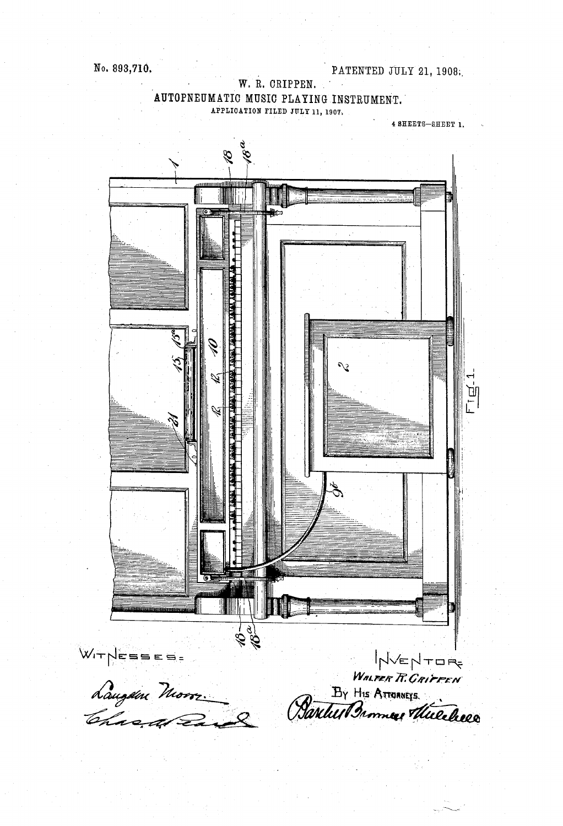#### W. R. CRIPPEN. AUTOPNEUMATIC MUSIC PLAYING INSTRUMENT. APPLICATION FILED JULY 11, 1907.

4 SHEETS-SHEET 1.

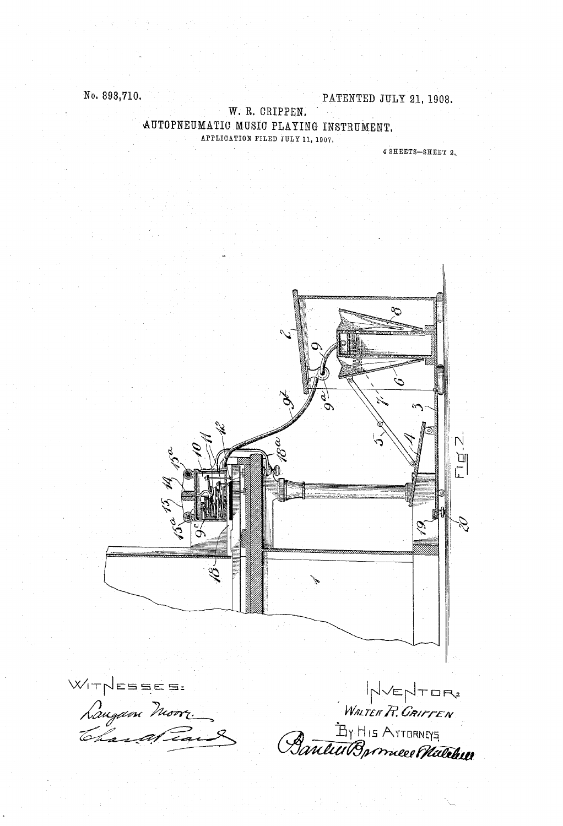No. 893,710.

PATENTED JULY 21, 1908.

W. R. CRIPPEN. AUTOPNEUMATIC MUSIC PLAYING INSTRUMENT. APPLICATION FILED JULY 11, 1907.

4 SHEETS-SHEET 2.

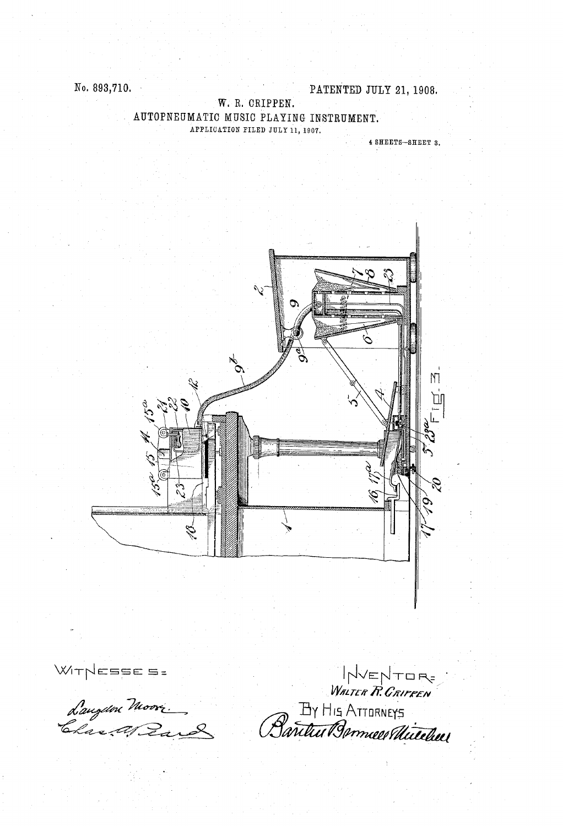#### W. R. CRIPPEN. AUTOPNEUMATIC MUSIC PLAYING INSTRUMENT. APPLICATION FILED JULY 11, 1907.

4 SHEETS-SHEET 3.



VENTORE WITNESSES :<br>Laugen Moori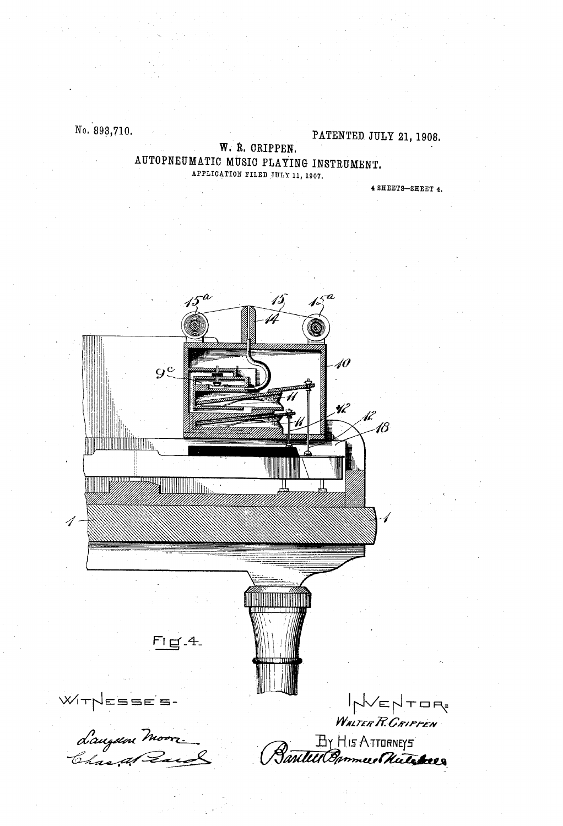No. 893,710.

PATENTED JULY 21, 1908.

W. R. CRIPPEN. AUTOPNEUMATIC MUSIC PLAYING INSTRUMENT. APPLICATION FILED JULY 11, 1907.

4 SHEETS-SHEET 4.

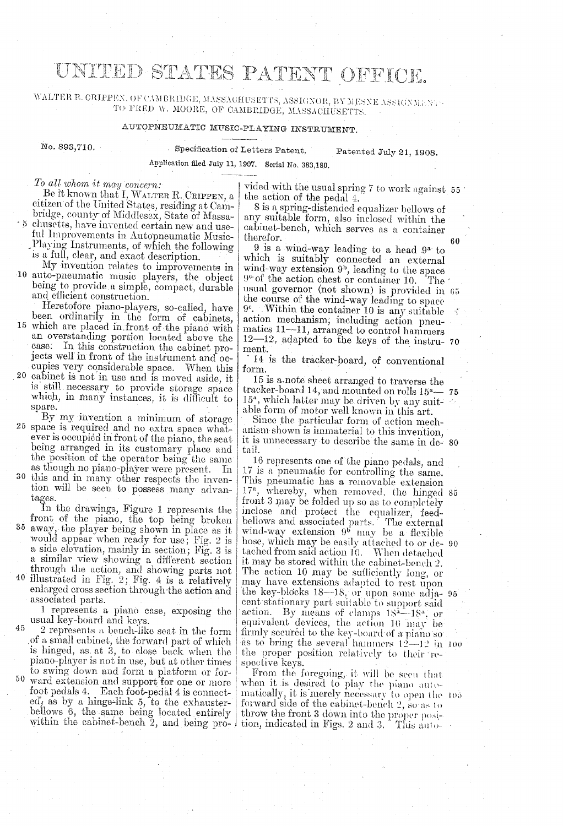## UNITED STATES PATENT OFFICE.

WALTER R. CRIPPEN, OF CAMBRIDGE, MASSACHUSETTS, ASSIGNOR, BY MESNE ASSI (NML NA - TO FRED W. MOORE, OF CAMBIRIDGE, MASSACHUSETTS,

### AUTOPNEUMATIC MUSIC-PLAYING INSTRUMENT.

No. 898,710. Specification of Letters Patent. Patented July 21, 1908.

Application filed July 11, 1907. Serial No. 383,180,

To all whom it may concern:<br>Be it known that I, WALTER R. CRIPPEN, a eitizen of the United States, residing at Cambridge, county of Middlesex, State of Massa-5 chusetts, have invented certain new and use-

ful Improvements in Autopneumatic Music-<br>Playing Instruments, of which the following<br>is a full, clear, and exact description.<br>My invention relates to improvements in<br>10 auto-pneumatic music players, the object<br>being to pro and efficient construction.<br>Heretofore piano-players, so-called, have

been ordinarily in the form of cabinets, 15 which are placed in front of the piano with an overstanding portion located above the case. In this construction the cabinet pro-

jects well in front of the instrument and occupies very considerable space. When this 20 cabinet is not in use and is moved aside, it is still necessary to provide storage space which, in many instances, it is difficult to

spare. By my invention a minimum of storage 25 space is required and no extra space whatever is occupied in front of the piano, the seat being arranged in its customary place and the position of the operator being the same

as though no piano-player were present. In 30 this and in many other respects the invention will be seen to possess many advantages.

In the drawings, Figure 1 represents the front of the piano, the top being broken <sup>35</sup> away, the player being shown in place as it would appear when ready for use; Fig. 2 is a side elevation, mainly in section; Fig. 3 is

a similar view showing a different section through the action, and showing parts not 40 illustrated in Fig. 2; Fig. 4 is a relatively enlarged cross section through the action and associated parts.

1 represents a piano case, exposing the<br>usual key-board and keys.<br>2 represents a bench-like seat in the form<br>of a small cabinet, the forward part of which<br>is hinged, as at 3, to close back when the<br>piano-player is not in to swing down and form a platform or for 45

50 ward extension and support for one or more foot pedals 4. Each foot-pedal 4 is connect ed, as by a hinge-link 5, to the exhauster bellows 6, the same being located entirely within the cabinet-bench  $z$ , and being pro- $\frac{1}{1}$  tion, indicated in Figs.

vided with the usual spring  $\ell$  to work against 55 the action of the pedal 4.

8 is a spring-distended equalizer bellows of any suitable form, also inclosed within the cabinet-bench, which serves as a container therefor.

60

 $9$  is a wind-way leading to a head  $9^x$  to which is suitably connected an external which is suitably connected an external<br>wind-way extension  $9^b$ , leading to the space<br> $9^{\circ}$  of the action chest or container 10. The<br>usual governor (not shown) is provided in<br>the course of the wind-way leading to space ment. The usual governor (not shown) is provided in 65 12-12, adapted to the keys of the instru- 70

14 is the tracker-board, of conventional form.

15 is a-note sheet arranged to traverse the tracker-board 14, and mounted on rolls 15<sup>a</sup>  $\sim$  75<br>15<sup>a</sup> which latter may be driven by sourced to  $\frac{15^a}{2}$ 15", which latter may be driven by any suit able form of motor well known in this art.

Since the particular form of action mechanism shown is immaterial to this invention, it is unnecessary to describe the same in de- 80 tail.

 $\arctan$ . By means of clamps  $18^a - 18^a$ , or firmly secured to the key-board of a piano so<br>as to bring the several hammers  $12-12$  in 100 To represents one of the piano pedals, and  $17$  is a pneumatic for controlling the same.<br>This pneumatic has a removable extension  $17<sup>a</sup>$ , whereby, when removed, the hinged front 3 may be folded up so as to completely bellows and associated parts. The external wind-way extension 9 may be a flexible hose, which may be easily attached to or de- 90 tached from said action 10. When detached it may be stored within the cabinet-bench 2. The action 10 may be sufficiently long, or may have extensions adapted to rest upon the key-blocks 18-18, or upon some adja- 95 cent stationary part suitable to support said the proper position relatively to their respective keys. 17<sup>a</sup>, whereby, when removed, the hinged 85

From the foregoing, it will be seen that when it is desired to play the piano auto-<br>matically, it is merely necessary to open the  $105$ forward side of the cabinet-bench 2, so as to throw the front 3 down into the proper position, indicated in Figs. 2 and 3. This auto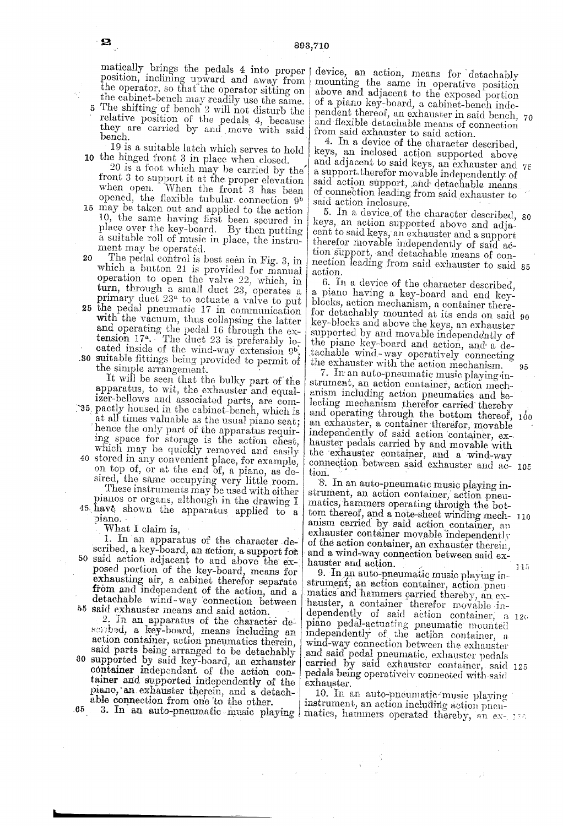matically brings the pedals 4 into proper position, inclining upward and away from the operator, so that the operator sitting on the cabinet-bench inay readily use the same. relative position of the pedals 4, because they are carried by and move with said bench.

č,

 $\gamma_i$  :

 $\boldsymbol{\Omega}$ 

10 the hinged front 3 in place when closed. 19 is a suitable latch which serves to hold

 $20$  is a foot which may be carried by the front 3 to support it at the proper elevation when open. When the front 3 has been opened, the flexible tubular connection 9<sup>b</sup> 15 may be taken out and applied to the action 10, the same having first been secured in place over the key-board. By then putting a suitable roll of music in place, the instru-

20 ment may be operated. The pedal control is best seen in Fig. 3, in which a button 21 is provided for manual operation to open the valve 22, which, in turn, through a small duct 23, operates a

25 the pedal pneumatic 17 in communication .80 suitable fittings being provided to permit of turn, through a small duct 23, operates a primary duct  $23<sup>a</sup>$  to actuate a valve to put the pedal pneumatic 17 in communication with the vacuum, thus collapsing the latter and operating the pedal 16 through the extension 17. The duct 23 is preferably located inside of the wind-way extension 9<sup>b</sup>, suitable fittings being provided to permit of the simple arrangement.

at all times valuable as the usual piano seat;<br>hence the only part of the apparatus requir-<br>ing space for storage is the action chest, which may be quickly removed and easily<br>40 stored in any convenient place, for example,<br>on top of, or at the end of, a piano, as de-These instruments may be used with either<br>pianos or organs, although in the drawing I.<br>45. have shown the apparatus applied to a the simple arrangement.<br>It will be seen that the bulky part of the<br>apparatus, to wit, the exhauster and equalizer-bellows and associated parts, are com-<br>35 pactly housed in the cabinet-bench, which is sired, the same occupying very little room.<br>These instruments may be used with either

piano.<br>What I claim is,

50 said action adjacent to and above the exposed portion of the key-board, means for detachable wind-way connection between<br>55 said exhauster means and said action. 1. In an apparatus of the character de-<br>scribed, a key-board, an action, a support for and a wind-way connection between said ex-<br>posed portion of the key-board, means for a hauster and action.<br>posed portion of the key-bo

30 Secretor as key-board, means including an action container, action pneumatics therein, said parts being arranged to be detachably supported by said key-board, an exhauster container independent of the action container and

65.

device, an action, means for detachably mounting the same in operative position above and adjacent to the exposed portion of a piano key-board, a cabinet-bench inde and flexible detachable means of connection pendent thereof, an exhauster in said bench, 70

from said exhauster to said action.<br>4. In a device of the character described, keys, an inclosed action supported above and adjacent to said keys, an exhauster and  $75$  a support therefor movable independently of said action support, and detachable means. of connection leading from said exhauster to said action inclosure. of connection leading from said exhauster to

o. In a device of the character described, 80<br>keys, an action supported above and adja-<br>cent to said keys, an exhauster and a support<br>therefor movable independently of said ac-<br>tion support, and detachable means of con-<br>ne 5. In a device of the character described, 80

6. In a device of the character described,<br>a piano having a key-board and end key-<br>blocks, action mechanism, a container there-<br>for detachably mounted at its ends on said 90<br>key-blocks and above the keys, an exhauster<br>sup for detachably mounted at its ends on said 90

strument, an action container, action mechanism including action pneumatics and se-lecting mechanism therefor carried thereby and operating through the bottom thereof, 100 an exhauster, a container therefor, movable an exhauster, a container therefor, movable independently of said action container, ex hauster pedais carried by and movable with<br>the exhauster container, and a wind-way<br>connection, between said exhauster and ac-105<br>tion.

8. In an auto-pneumatic music playing in matics, hammers operating through the botanism carried by said action container, an exhauster container movable independently<br>of the action container, an exhauster therein,<br>and a wind-way connection between said ex-<br>hauster and action.<br>9. In an auto-pneumatic mu tom thereof, and a note-sheet winding mech- 110

matics and hammers carried thereby, an expiano pedal-actuating pneumatic mounted, a 120<br>piano pedal-actuating pneumatic mounted<br>independently of the action container, a<br>wind-way connection between the exhauster<br>and said pedal pneumatic, exhauster pedals<br>carried b

able connection from one to the other.<br>3. In an auto-pneumatic music playing action pheurant, an action including action pheu-<br>3. In an auto-pneumatic music playing matics, hammers operated thereby, an ex-

ΥÎ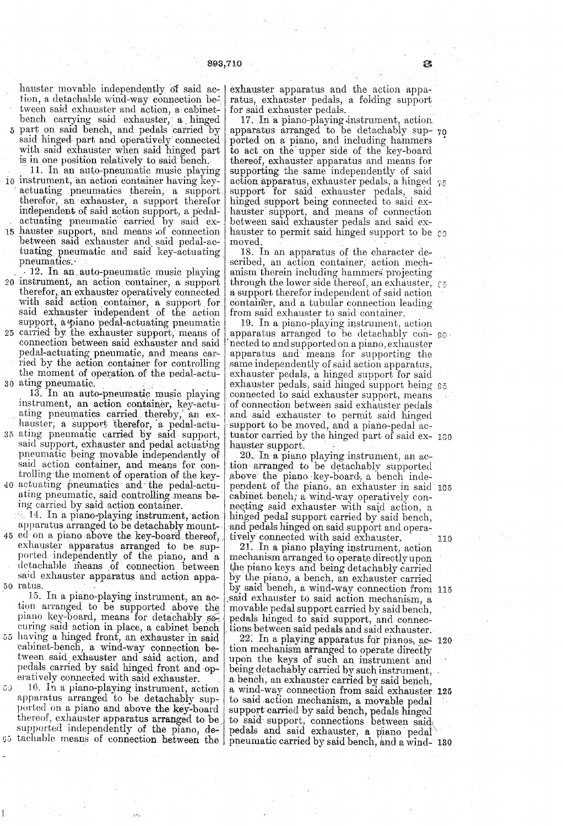hauster movable independently of said ac-exhauster apparatus and the action appation, a detachable wind-way connection be bench carrying said exhauster, a hinged part on said bench, and pedals carried by said hinged part and operatively connected with said exhauster when said hinged part

- is in one position relatively to said bench.<br>
11. In an auto-pneumatic music playing<br>
10 instrument, an action container having key-<br>
actuating pneumatics therein, a support<br>
therefor, an exhauster, a support therefor<br>
ind
- 
- 15 natisted support, and means of connection<br>between said exhauster and said pedal-ac-<br>tuating pneumatic and said key-actuating<br>pneumatics.<br>12. In an auto-pneumatic music playing<br>20 instrument, an action container, a suppo
- 25 carried by the exhauster support, means of pedal-actuating pneumatic, and means car ried by the action container for controlling 30 ating pneumatic. the moment of operation of the pedal-actuating pneumatic.<br>13. In an auto-pneumatic music playing

instrument, an action container, key-actu-

35 40 actuating pneumatics and the pedal-actumauster, a support duerelor, a pedia-actu-<br>ating pneumatic carried by said support,<br>said support, exhauster and pedal actuating<br>pneumatic being movable independently of<br>said action container, and means for con-<br>trolling th

45 ed on a piano above the key-board thereof, ing carried by said action container.<br>14. In a piano-playing instrument, action<br>apparatus arranged to be detachably mountexhauster apparatus arranged to be sup-<br>ported independently of the piano, and a<br>detachable means of connection between

said exhauster apparatus and action appa-<br>50 ratus.<br>15. In a piano-playing instrument, an action arranged to be supported above the<br>piano key-board, means for detachably se-<br>curing said action in place, a cabinet bench<br>55

pedals carried by said hinged front and operatively connected with said exhauster.<br>16. In a piano-playing instrument, action<br>apparatus arranged to be detachably sup-<br>ported on a piano and above the key-board<br>thereof, exhau  $30$ 

ratus, exhauster pedals, a folding support for said exhauster pedals.

17. In a piano-playing instrument, action. apparatus arranged to be detachably Sup- 70 ported on a piano, and including hammers<br>to act on the upper side of the key-board thereof, exhauster apparatus and means for supporting the same independently of said action apparatus, exhauster pedals, a hinged  $75$  support for said exhauster pedals, said hinged support being connected to said exhauster support, and means of connection between said exhauster pedals and said exhauster to permit said hinged support to be comoved.

18. In an apparatus of the character described, an action container, action mechanism therein including hammers projecting<br>through the lower side thereof, an exhauster,  $\epsilon_5$ <br>a support therefor independent of said action

ating pneumatics carried thereby, an ex- and said exhauster to permit said hinged hauster, a support therefor, a pedal-actu- support to be moved, and a piano-pedal accontainer, and a tubular connection leading<br>from said exhauster to said container.<br>19. In a piano-playing instrument, action<br>apparatus arranged to be detachably con- $\circ$ nected to and supported on a piano, exhauster apparatus and means for supporting the same independently of said action apparatus, exhauster pedals, a hinged support for said<br>exhauster pedals, said hinged support being 95<br>connected to said exhauster support, means of connection between said exhauster pedals<br>and said exhauster to permit said hinged<br>support to be moved, and a piano-pedal ac-<br>tuator carried by the hinged part of said ex-100

tuator carried by the hinged part of said ex-<br>tion arranged to be detachably supported<br>above the piano key-board, a bench inde-<br>pendent of the piano, an exhauster in said 105 cabinet bench; a wind-way operatively connecting said exhauster with said action, a hinged pedal support carried by said bench, and pedals hinged on said support and operatively connected with said exhauster. 110 21. In a piano playing instrument, action

mechanism arranged to operate directly upon<br>the piano keys and being detachably carried<br>by the piano, a bench, an exhauster carried by said bench, a wind-way connection from 115 said exhauster to said action mechanism, a movable pedal support carried by said bench, pedals hinged to said support, and connections between said pedals and said exhauster.

22. In a playing apparatus for pianos, ac- 120 tion mechanism arranged to operate directly upon the keys of such an instrument and being detachably carried by such instrument, a bench, an exhauster carried by said bench, a wind-way connection from said exhauster 125 ported on a piano and above the key-board support carried by said bench, pedals hinged<br>thereof, exhauster apparatus arranged to be to said support, connections between said<br>supported independently of the piano, de-<br>edals a